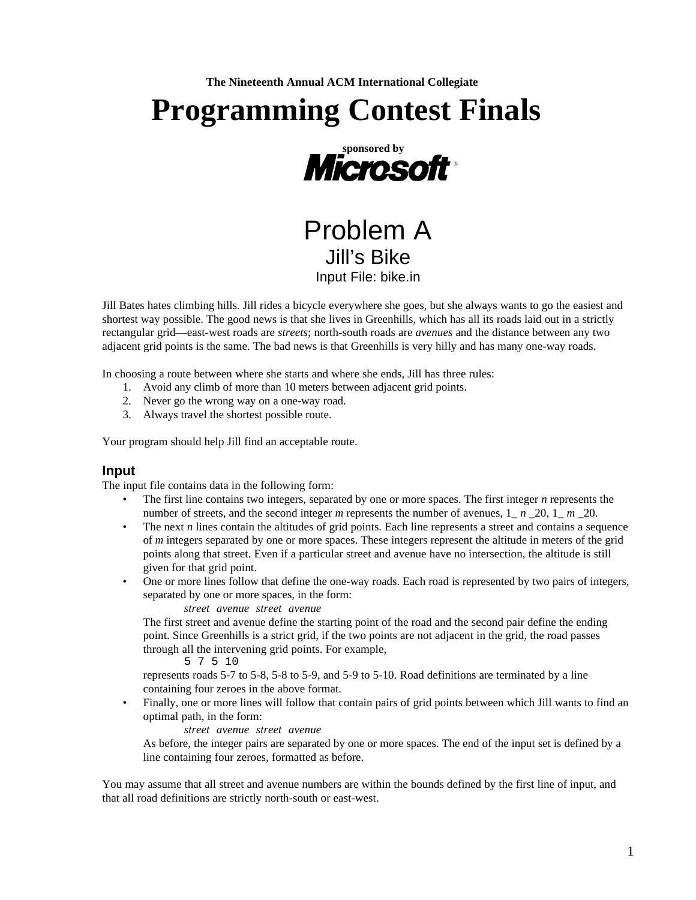# **Programming Contest Finals**



# Problem A Jill's Bike Input File: bike.in

Jill Bates hates climbing hills. Jill rides a bicycle everywhere she goes, but she always wants to go the easiest and shortest way possible. The good news is that she lives in Greenhills, which has all its roads laid out in a strictly rectangular grid—east-west roads are *streets*; north-south roads are *avenues* and the distance between any two adjacent grid points is the same. The bad news is that Greenhills is very hilly and has many one-way roads.

In choosing a route between where she starts and where she ends, Jill has three rules:

- 1. Avoid any climb of more than 10 meters between adjacent grid points.
	- 2. Never go the wrong way on a one-way road.
	- 3. Always travel the shortest possible route.

Your program should help Jill find an acceptable route.

#### **Input**

The input file contains data in the following form:

- The first line contains two integers, separated by one or more spaces. The first integer *n* represents the number of streets, and the second integer *m* represents the number of avenues, 1  $n \times 20$ , 1  $m \times 20$ .
- The next *n* lines contain the altitudes of grid points. Each line represents a street and contains a sequence of *m* integers separated by one or more spaces. These integers represent the altitude in meters of the grid points along that street. Even if a particular street and avenue have no intersection, the altitude is still given for that grid point.
- One or more lines follow that define the one-way roads. Each road is represented by two pairs of integers, separated by one or more spaces, in the form:

*street avenue street avenue*

The first street and avenue define the starting point of the road and the second pair define the ending point. Since Greenhills is a strict grid, if the two points are not adjacent in the grid, the road passes through all the intervening grid points. For example,

5 7 5 10

represents roads 5-7 to 5-8, 5-8 to 5-9, and 5-9 to 5-10. Road definitions are terminated by a line containing four zeroes in the above format.

• Finally, one or more lines will follow that contain pairs of grid points between which Jill wants to find an optimal path, in the form:

*street avenue street avenue*

As before, the integer pairs are separated by one or more spaces. The end of the input set is defined by a line containing four zeroes, formatted as before.

You may assume that all street and avenue numbers are within the bounds defined by the first line of input, and that all road definitions are strictly north-south or east-west.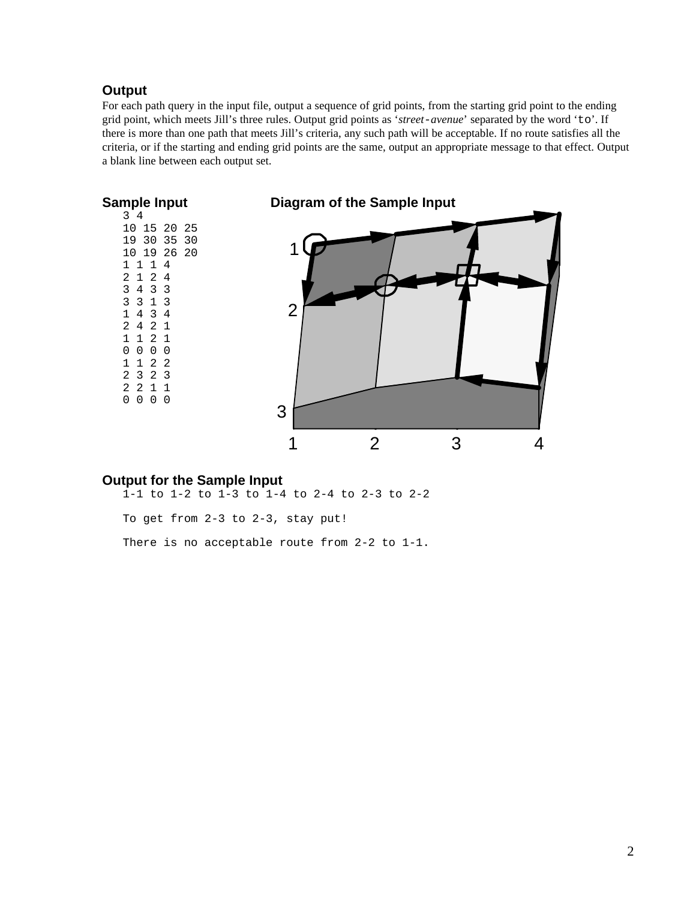# **Output**

For each path query in the input file, output a sequence of grid points, from the starting grid point to the ending grid point, which meets Jill's three rules. Output grid points as '*street*-*avenue*' separated by the word 'to'. If there is more than one path that meets Jill's criteria, any such path will be acceptable. If no route satisfies all the criteria, or if the starting and ending grid points are the same, output an appropriate message to that effect. Output a blank line between each output set.

## **Sample Input** 3 4 10 15 20 25 19 30 35 30 10 19 26 20 1 1 1 4 2 1 2 4 3 4 3 3 3 3 1 3 1 4 3 4 2 4 2 1 1 1 2 1 0 0 0 0 1 1 2 2 2 3 2 3 2 2 1 1 0 0 0 0

**Diagram of the Sample Input**



### **Output for the Sample Input**

1-1 to 1-2 to 1-3 to 1-4 to 2-4 to 2-3 to 2-2

To get from 2-3 to 2-3, stay put!

There is no acceptable route from 2-2 to 1-1.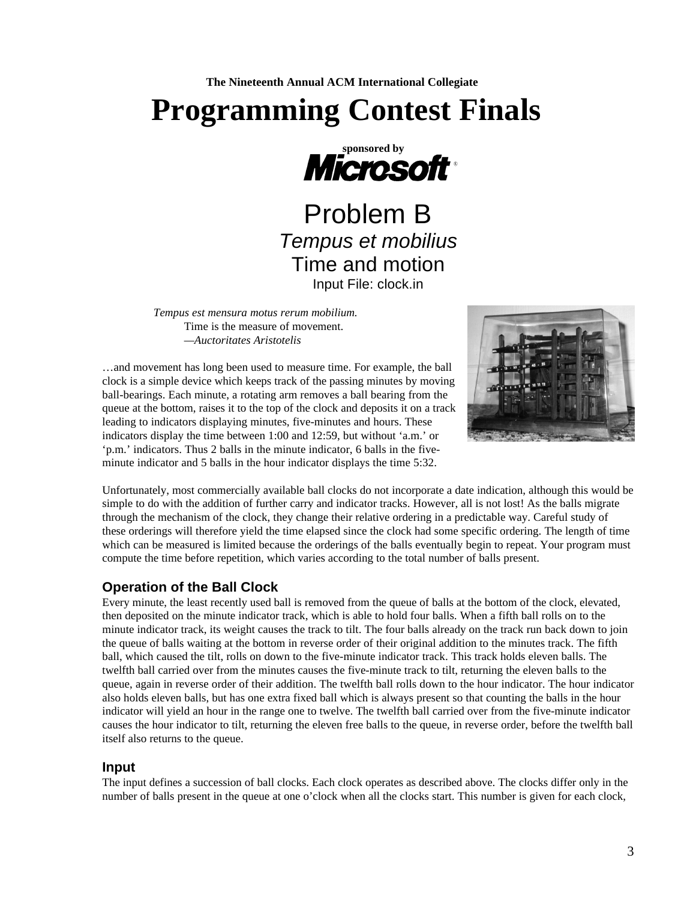# **Programming Contest Finals**



# Problem B *Tempus et mobilius* Time and motion Input File: clock.in

*Tempus est mensura motus rerum mobilium.* Time is the measure of movement. *—Auctoritates Aristotelis*

…and movement has long been used to measure time. For example, the ball clock is a simple device which keeps track of the passing minutes by moving ball-bearings. Each minute, a rotating arm removes a ball bearing from the queue at the bottom, raises it to the top of the clock and deposits it on a track leading to indicators displaying minutes, five-minutes and hours. These indicators display the time between 1:00 and 12:59, but without 'a.m.' or 'p.m.' indicators. Thus 2 balls in the minute indicator, 6 balls in the fiveminute indicator and 5 balls in the hour indicator displays the time 5:32.



Unfortunately, most commercially available ball clocks do not incorporate a date indication, although this would be simple to do with the addition of further carry and indicator tracks. However, all is not lost! As the balls migrate through the mechanism of the clock, they change their relative ordering in a predictable way. Careful study of these orderings will therefore yield the time elapsed since the clock had some specific ordering. The length of time which can be measured is limited because the orderings of the balls eventually begin to repeat. Your program must compute the time before repetition, which varies according to the total number of balls present.

### **Operation of the Ball Clock**

Every minute, the least recently used ball is removed from the queue of balls at the bottom of the clock, elevated, then deposited on the minute indicator track, which is able to hold four balls. When a fifth ball rolls on to the minute indicator track, its weight causes the track to tilt. The four balls already on the track run back down to join the queue of balls waiting at the bottom in reverse order of their original addition to the minutes track. The fifth ball, which caused the tilt, rolls on down to the five-minute indicator track. This track holds eleven balls. The twelfth ball carried over from the minutes causes the five-minute track to tilt, returning the eleven balls to the queue, again in reverse order of their addition. The twelfth ball rolls down to the hour indicator. The hour indicator also holds eleven balls, but has one extra fixed ball which is always present so that counting the balls in the hour indicator will yield an hour in the range one to twelve. The twelfth ball carried over from the five-minute indicator causes the hour indicator to tilt, returning the eleven free balls to the queue, in reverse order, before the twelfth ball itself also returns to the queue.

### **Input**

The input defines a succession of ball clocks. Each clock operates as described above. The clocks differ only in the number of balls present in the queue at one o'clock when all the clocks start. This number is given for each clock,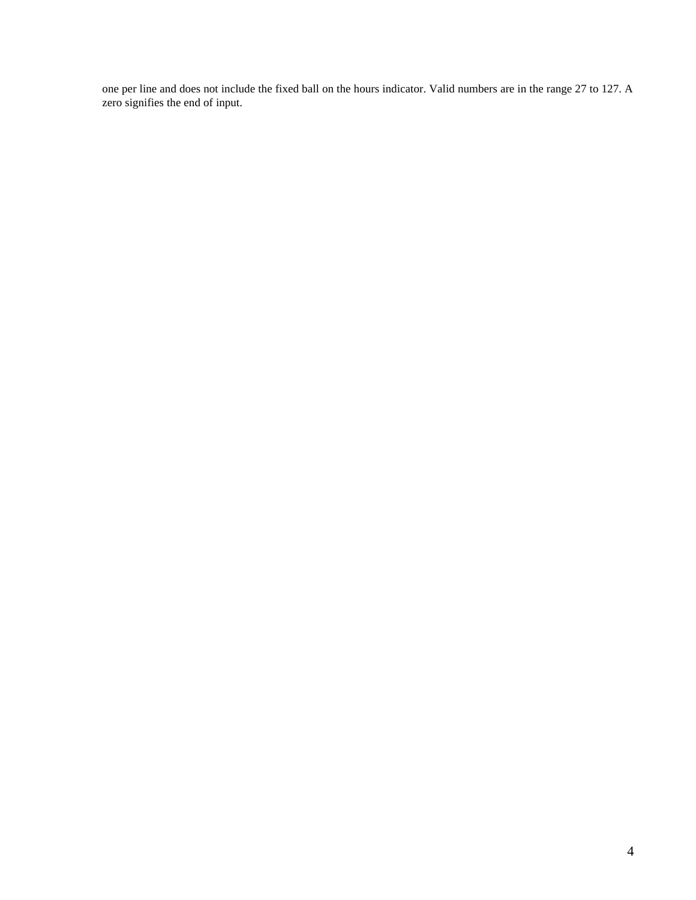one per line and does not include the fixed ball on the hours indicator. Valid numbers are in the range 27 to 127. A zero signifies the end of input.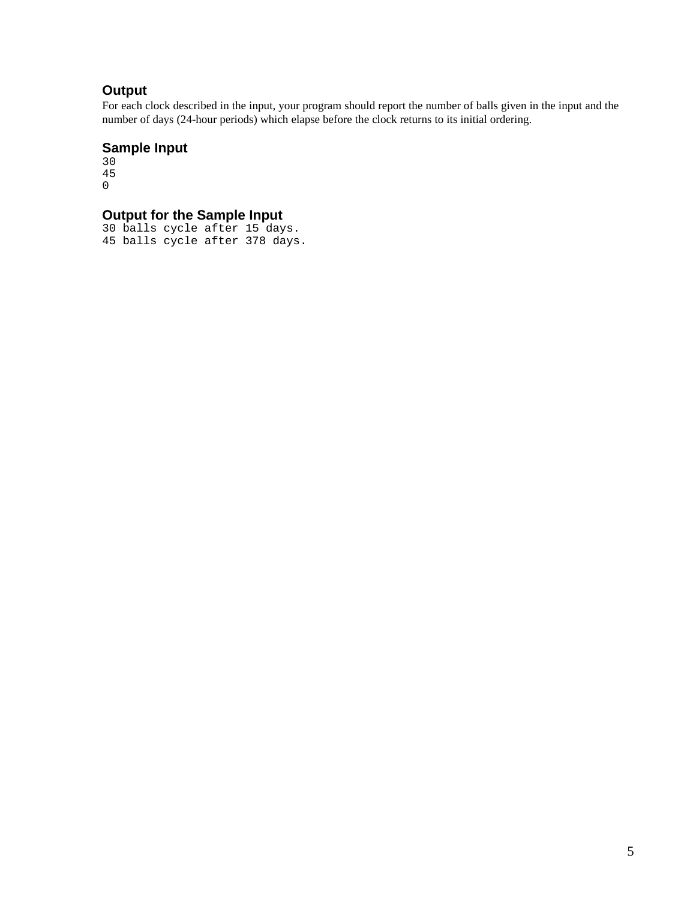# **Output**

For each clock described in the input, your program should report the number of balls given in the input and the number of days (24-hour periods) which elapse before the clock returns to its initial ordering.

# **Sample Input**

30 45 0

# **Output for the Sample Input**

30 balls cycle after 15 days. 45 balls cycle after 378 days.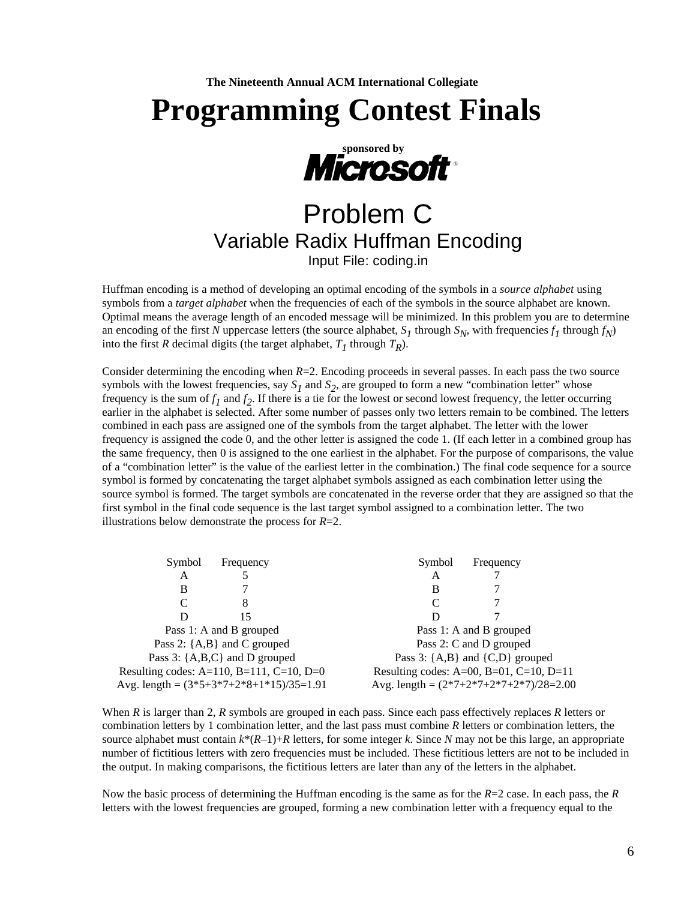# **Programming Contest Finals**



# Problem C Variable Radix Huffman Encoding Input File: coding.in

Huffman encoding is a method of developing an optimal encoding of the symbols in a *source alphabet* using symbols from a *target alphabet* when the frequencies of each of the symbols in the source alphabet are known. Optimal means the average length of an encoded message will be minimized. In this problem you are to determine an encoding of the first *N* uppercase letters (the source alphabet,  $S_I$  through  $S_N$ , with frequencies  $f_I$  through  $f_N$ ) into the first *R* decimal digits (the target alphabet,  $T_I$  through  $T_R$ ).

Consider determining the encoding when *R*=2. Encoding proceeds in several passes. In each pass the two source symbols with the lowest frequencies, say  $S_I$  and  $S_2$ , are grouped to form a new "combination letter" whose frequency is the sum of  $f_I$  and  $f_2$ . If there is a tie for the lowest or second lowest frequency, the letter occurring earlier in the alphabet is selected. After some number of passes only two letters remain to be combined. The letters combined in each pass are assigned one of the symbols from the target alphabet. The letter with the lower frequency is assigned the code 0, and the other letter is assigned the code 1. (If each letter in a combined group has the same frequency, then 0 is assigned to the one earliest in the alphabet. For the purpose of comparisons, the value of a "combination letter" is the value of the earliest letter in the combination.) The final code sequence for a source symbol is formed by concatenating the target alphabet symbols assigned as each combination letter using the source symbol is formed. The target symbols are concatenated in the reverse order that they are assigned so that the first symbol in the final code sequence is the last target symbol assigned to a combination letter. The two illustrations below demonstrate the process for *R*=2.

| Symbol                                   | Frequency                                  | Symbol | Frequency                                 |  |
|------------------------------------------|--------------------------------------------|--------|-------------------------------------------|--|
| А                                        |                                            | A      |                                           |  |
| B                                        |                                            | В      |                                           |  |
| C                                        | 8                                          | C      |                                           |  |
| D                                        | 15                                         |        |                                           |  |
|                                          | Pass 1: A and B grouped                    |        | Pass 1: A and B grouped                   |  |
| Pass 2: ${A,B}$ and C grouped            |                                            |        | Pass 2: C and D grouped                   |  |
|                                          | Pass 3: {A,B,C} and D grouped              |        | Pass 3: ${A,B}$ and ${C,D}$ grouped       |  |
| Resulting codes: A=110, B=111, C=10, D=0 |                                            |        | Resulting codes: A=00, B=01, C=10, D=11   |  |
|                                          | Avg. length = $(3*5+3*7+2*8+1*15)/35=1.91$ |        | Avg. length = $(2*7+2*7+2*7+2*7)/28=2.00$ |  |
|                                          |                                            |        |                                           |  |

When *R* is larger than 2, *R* symbols are grouped in each pass. Since each pass effectively replaces *R* letters or combination letters by 1 combination letter, and the last pass must combine *R* letters or combination letters, the source alphabet must contain  $k*(R-1)+R$  letters, for some integer *k*. Since *N* may not be this large, an appropriate number of fictitious letters with zero frequencies must be included. These fictitious letters are not to be included in the output. In making comparisons, the fictitious letters are later than any of the letters in the alphabet.

Now the basic process of determining the Huffman encoding is the same as for the *R*=2 case. In each pass, the *R* letters with the lowest frequencies are grouped, forming a new combination letter with a frequency equal to the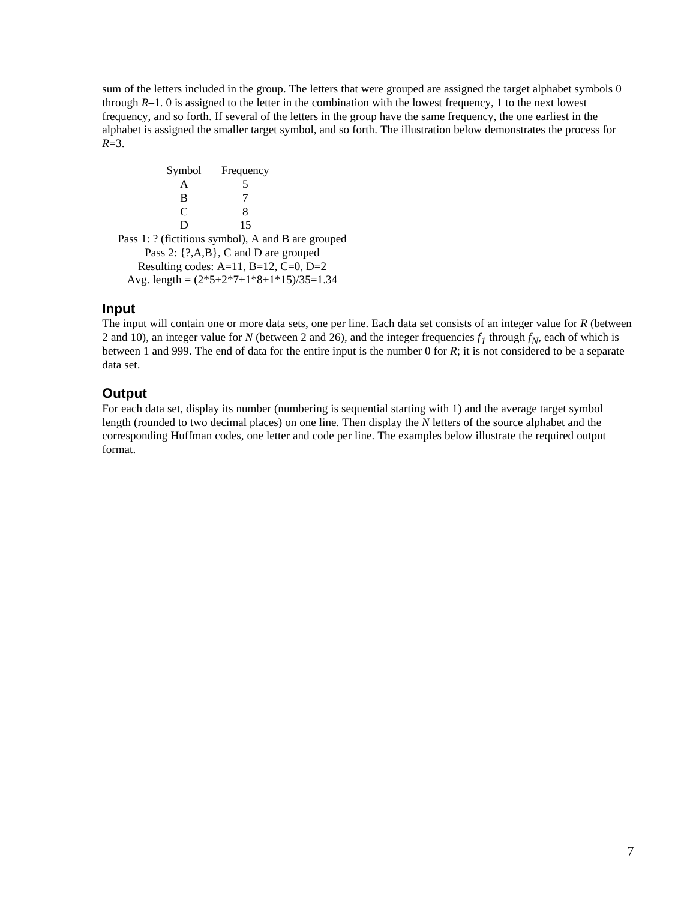sum of the letters included in the group. The letters that were grouped are assigned the target alphabet symbols 0 through  $R-1$ . 0 is assigned to the letter in the combination with the lowest frequency, 1 to the next lowest frequency, and so forth. If several of the letters in the group have the same frequency, the one earliest in the alphabet is assigned the smaller target symbol, and so forth. The illustration below demonstrates the process for *R*=3.

| Symbol                                             | Frequency                            |  |
|----------------------------------------------------|--------------------------------------|--|
| A                                                  |                                      |  |
| В                                                  |                                      |  |
| C                                                  | 8                                    |  |
| D                                                  | 15                                   |  |
| Pass 1: ? (fictitious symbol), A and B are grouped |                                      |  |
|                                                    | Pass 2: {?,A,B}, C and D are grouped |  |
| Resulting codes: A=11, B=12, C=0, D=2              |                                      |  |
| Avg. length = $(2*5+2*7+1*8+1*15)/35=1.34$         |                                      |  |

# **Input**

The input will contain one or more data sets, one per line. Each data set consists of an integer value for *R* (between 2 and 10), an integer value for *N* (between 2 and 26), and the integer frequencies  $f_I$  through  $f_N$ , each of which is between 1 and 999. The end of data for the entire input is the number 0 for *R*; it is not considered to be a separate data set.

# **Output**

For each data set, display its number (numbering is sequential starting with 1) and the average target symbol length (rounded to two decimal places) on one line. Then display the *N* letters of the source alphabet and the corresponding Huffman codes, one letter and code per line. The examples below illustrate the required output format.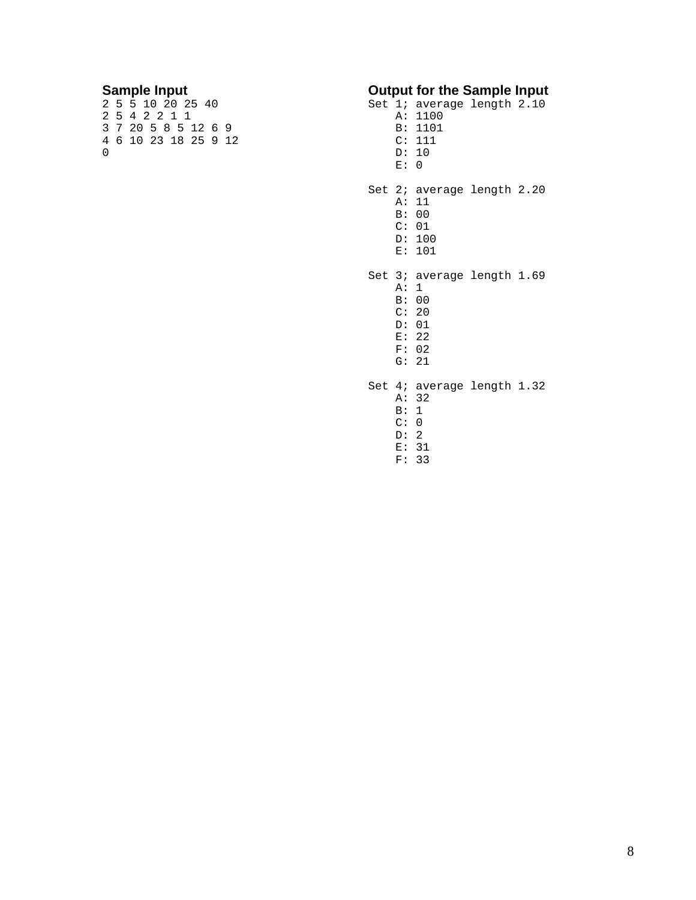#### **Sample Input**

2 5 5 10 20 25 40 2 5 4 2 2 1 1 3 7 20 5 8 5 12 6 9 4 6 10 23 18 25 9 12 0

# **Output for the Sample Input**

Set 1; average length 2.10 A: 1100 B: 1101 C: 111 D: 10 E: 0 Set 2; average length 2.20 A: 11 B: 00 C: 01 D: 100 E: 101 Set 3; average length 1.69 A: 1 B: 00 C: 20 D: 01 E: 22 F: 02 G: 21 Set 4; average length 1.32 A: 32 B: 1 C: 0 D: 2 E: 31 F: 33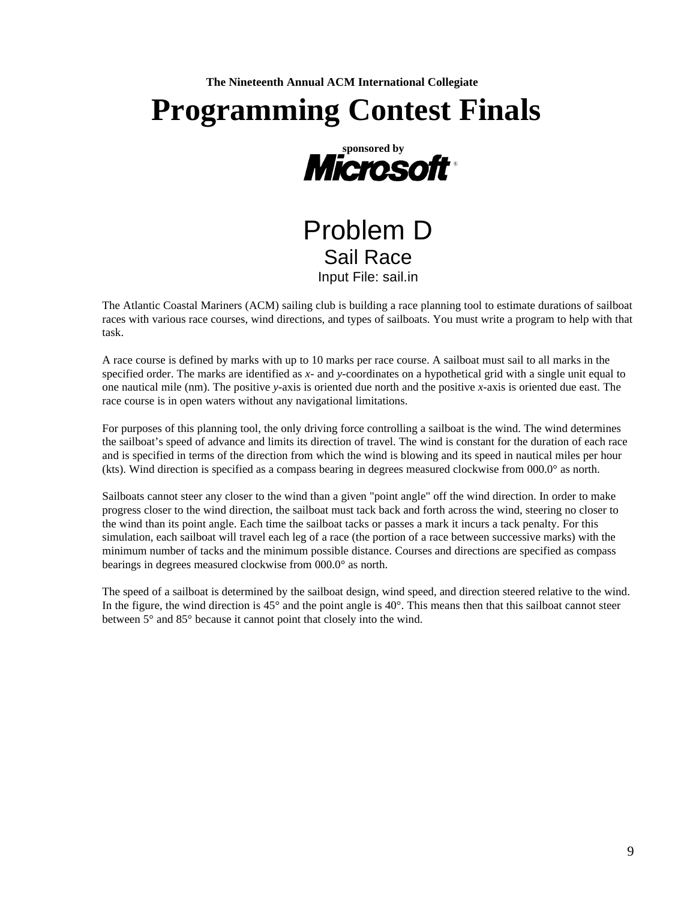# **Programming Contest Finals**



Problem D Sail Race Input File: sail.in

The Atlantic Coastal Mariners (ACM) sailing club is building a race planning tool to estimate durations of sailboat races with various race courses, wind directions, and types of sailboats. You must write a program to help with that task.

A race course is defined by marks with up to 10 marks per race course. A sailboat must sail to all marks in the specified order. The marks are identified as *x*- and *y*-coordinates on a hypothetical grid with a single unit equal to one nautical mile (nm). The positive *y*-axis is oriented due north and the positive *x*-axis is oriented due east. The race course is in open waters without any navigational limitations.

For purposes of this planning tool, the only driving force controlling a sailboat is the wind. The wind determines the sailboat's speed of advance and limits its direction of travel. The wind is constant for the duration of each race and is specified in terms of the direction from which the wind is blowing and its speed in nautical miles per hour (kts). Wind direction is specified as a compass bearing in degrees measured clockwise from 000.0° as north.

Sailboats cannot steer any closer to the wind than a given "point angle" off the wind direction. In order to make progress closer to the wind direction, the sailboat must tack back and forth across the wind, steering no closer to the wind than its point angle. Each time the sailboat tacks or passes a mark it incurs a tack penalty. For this simulation, each sailboat will travel each leg of a race (the portion of a race between successive marks) with the minimum number of tacks and the minimum possible distance. Courses and directions are specified as compass bearings in degrees measured clockwise from 000.0° as north.

The speed of a sailboat is determined by the sailboat design, wind speed, and direction steered relative to the wind. In the figure, the wind direction is  $45^{\circ}$  and the point angle is  $40^{\circ}$ . This means then that this sailboat cannot steer between 5° and 85° because it cannot point that closely into the wind.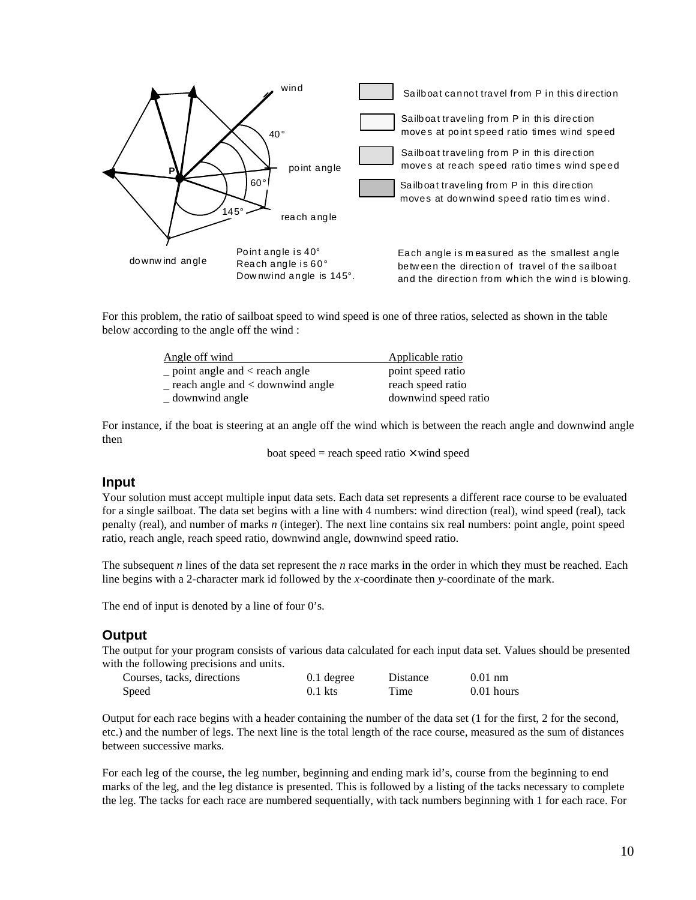

For this problem, the ratio of sailboat speed to wind speed is one of three ratios, selected as shown in the table below according to the angle off the wind :

| Applicable ratio     |  |
|----------------------|--|
| point speed ratio    |  |
| reach speed ratio    |  |
| downwind speed ratio |  |
|                      |  |

For instance, if the boat is steering at an angle off the wind which is between the reach angle and downwind angle then

boat speed = reach speed ratio  $\times$  wind speed

#### **Input**

Your solution must accept multiple input data sets. Each data set represents a different race course to be evaluated for a single sailboat. The data set begins with a line with 4 numbers: wind direction (real), wind speed (real), tack penalty (real), and number of marks *n* (integer). The next line contains six real numbers: point angle, point speed ratio, reach angle, reach speed ratio, downwind angle, downwind speed ratio.

The subsequent *n* lines of the data set represent the *n* race marks in the order in which they must be reached. Each line begins with a 2-character mark id followed by the *x*-coordinate then *y*-coordinate of the mark.

The end of input is denoted by a line of four 0's.

### **Output**

The output for your program consists of various data calculated for each input data set. Values should be presented with the following precisions and units.

| Courses, tacks, directions | $0.1$ degree | Distance | $0.01$ nm    |
|----------------------------|--------------|----------|--------------|
| Speed                      | $0.1$ kts    | Time     | $0.01$ hours |

Output for each race begins with a header containing the number of the data set (1 for the first, 2 for the second, etc.) and the number of legs. The next line is the total length of the race course, measured as the sum of distances between successive marks.

For each leg of the course, the leg number, beginning and ending mark id's, course from the beginning to end marks of the leg, and the leg distance is presented. This is followed by a listing of the tacks necessary to complete the leg. The tacks for each race are numbered sequentially, with tack numbers beginning with 1 for each race. For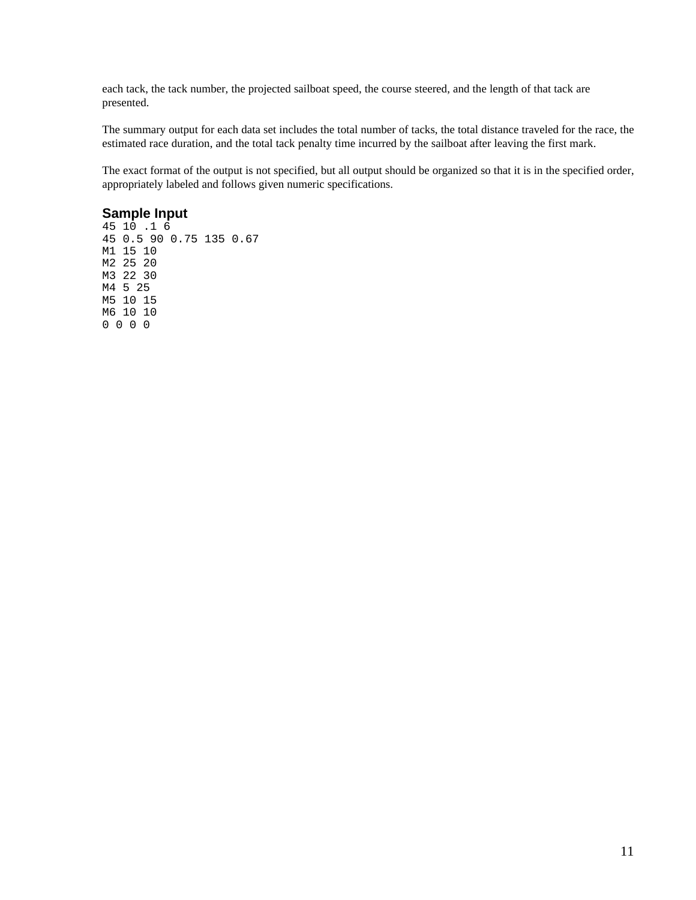each tack, the tack number, the projected sailboat speed, the course steered, and the length of that tack are presented.

The summary output for each data set includes the total number of tacks, the total distance traveled for the race, the estimated race duration, and the total tack penalty time incurred by the sailboat after leaving the first mark.

The exact format of the output is not specified, but all output should be organized so that it is in the specified order, appropriately labeled and follows given numeric specifications.

# **Sample Input**

45 10 .1 6 45 0.5 90 0.75 135 0.67 M1 15 10 M2 25 20 M3 22 30 M4 5 25 M5 10 15 M6 10 10 0 0 0 0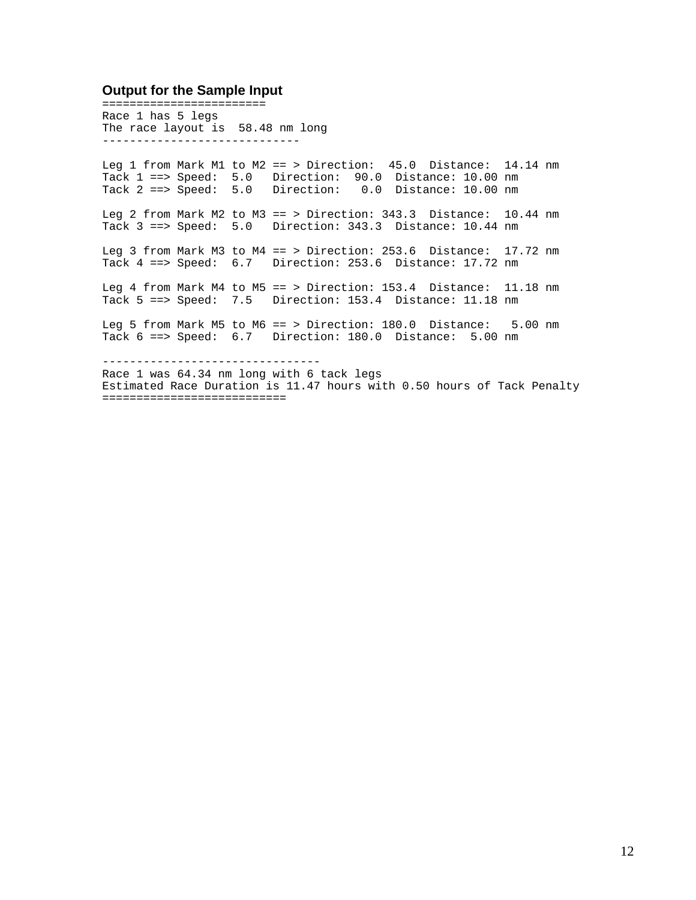#### **Output for the Sample Input**

======================== Race 1 has 5 legs The race layout is 58.48 nm long -----------------------------

Leg 1 from Mark M1 to M2 == > Direction: 45.0 Distance: 14.14 nm Tack 1 ==> Speed: 5.0 Direction: 90.0 Distance: 10.00 nm Tack 2 ==> Speed: 5.0 Direction: 0.0 Distance: 10.00 nm Leg 2 from Mark M2 to M3 == > Direction: 343.3 Distance: 10.44 nm Tack 3 ==> Speed: 5.0 Direction: 343.3 Distance: 10.44 nm Leg 3 from Mark M3 to M4 == > Direction: 253.6 Distance: 17.72 nm Tack 4 ==> Speed: 6.7 Direction: 253.6 Distance: 17.72 nm Leg 4 from Mark M4 to M5 == > Direction: 153.4 Distance: 11.18 nm Tack 5 ==> Speed: 7.5 Direction: 153.4 Distance: 11.18 nm Leg 5 from Mark M5 to M6 == > Direction: 180.0 Distance: 5.00 nm Tack 6 ==> Speed: 6.7 Direction: 180.0 Distance: 5.00 nm --------------------------------

Race 1 was 64.34 nm long with 6 tack legs Estimated Race Duration is 11.47 hours with 0.50 hours of Tack Penalty ===========================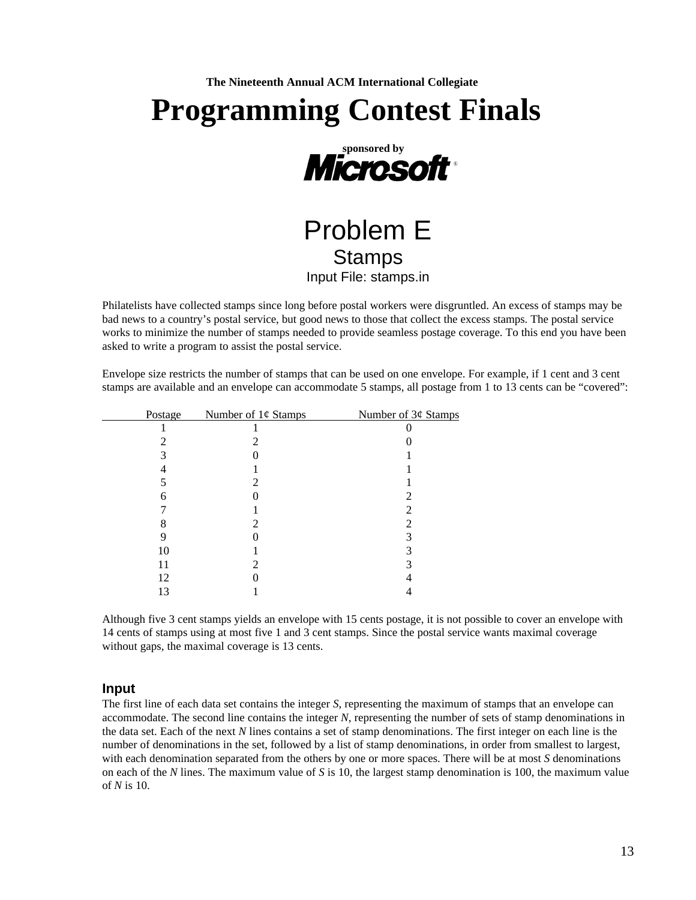# **Programming Contest Finals**



Problem E **Stamps** Input File: stamps.in

Philatelists have collected stamps since long before postal workers were disgruntled. An excess of stamps may be bad news to a country's postal service, but good news to those that collect the excess stamps. The postal service works to minimize the number of stamps needed to provide seamless postage coverage. To this end you have been asked to write a program to assist the postal service.

Envelope size restricts the number of stamps that can be used on one envelope. For example, if 1 cent and 3 cent stamps are available and an envelope can accommodate 5 stamps, all postage from 1 to 13 cents can be "covered":

| Postage | Number of $1¢$ Stamps | Number of $3¢$ Stamps |  |
|---------|-----------------------|-----------------------|--|
|         |                       |                       |  |
|         |                       |                       |  |
|         |                       |                       |  |
|         |                       |                       |  |
|         |                       |                       |  |
|         |                       |                       |  |
|         |                       |                       |  |
|         |                       |                       |  |
|         |                       |                       |  |
| 10      |                       |                       |  |
|         |                       |                       |  |
| 12      |                       |                       |  |
| 13      |                       |                       |  |

Although five 3 cent stamps yields an envelope with 15 cents postage, it is not possible to cover an envelope with 14 cents of stamps using at most five 1 and 3 cent stamps. Since the postal service wants maximal coverage without gaps, the maximal coverage is 13 cents.

#### **Input**

The first line of each data set contains the integer *S*, representing the maximum of stamps that an envelope can accommodate. The second line contains the integer *N*, representing the number of sets of stamp denominations in the data set. Each of the next *N* lines contains a set of stamp denominations. The first integer on each line is the number of denominations in the set, followed by a list of stamp denominations, in order from smallest to largest, with each denomination separated from the others by one or more spaces. There will be at most *S* denominations on each of the *N* lines. The maximum value of *S* is 10, the largest stamp denomination is 100, the maximum value of *N* is 10.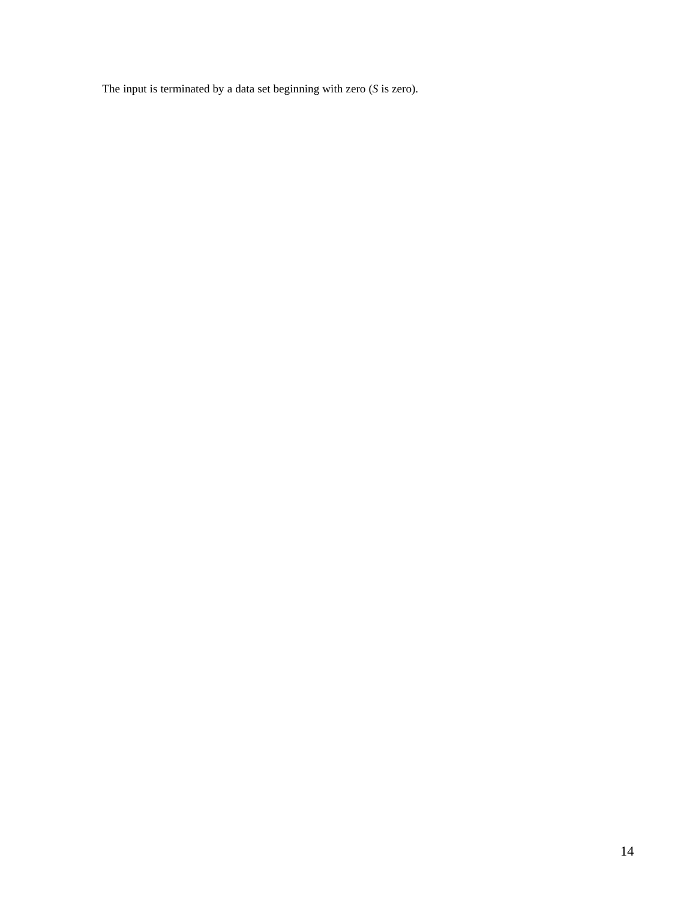The input is terminated by a data set beginning with zero (*S* is zero).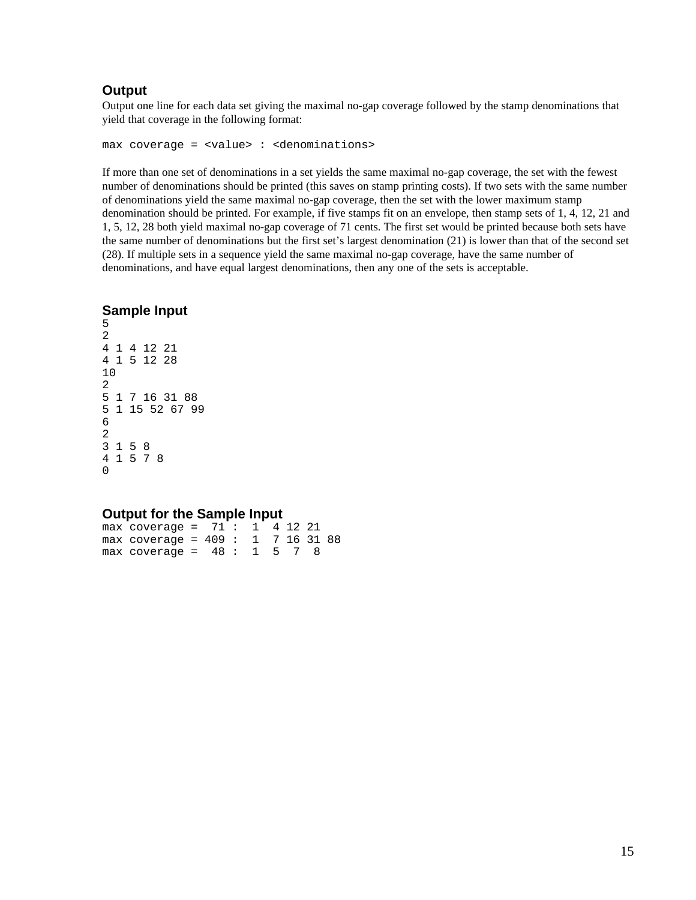# **Output**

Output one line for each data set giving the maximal no-gap coverage followed by the stamp denominations that yield that coverage in the following format:

```
max coverage = <value> : <denominations>
```
If more than one set of denominations in a set yields the same maximal no-gap coverage, the set with the fewest number of denominations should be printed (this saves on stamp printing costs). If two sets with the same number of denominations yield the same maximal no-gap coverage, then the set with the lower maximum stamp denomination should be printed. For example, if five stamps fit on an envelope, then stamp sets of 1, 4, 12, 21 and 1, 5, 12, 28 both yield maximal no-gap coverage of 71 cents. The first set would be printed because both sets have the same number of denominations but the first set's largest denomination (21) is lower than that of the second set (28). If multiple sets in a sequence yield the same maximal no-gap coverage, have the same number of denominations, and have equal largest denominations, then any one of the sets is acceptable.

### **Sample Input**

#### **Output for the Sample Input**

```
max coverage = 71 : 1 4 12 21
max coverage = 409 : 1 7 16 31 88
max coverage = 48 : 1 5 7 8
```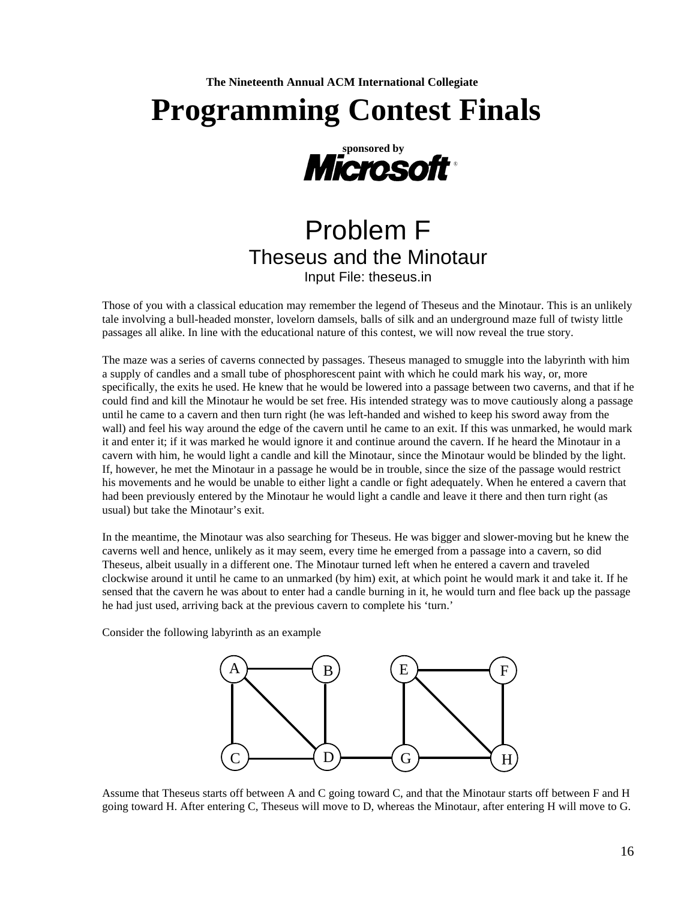# **Programming Contest Finals**



# Problem F Theseus and the Minotaur Input File: theseus.in

Those of you with a classical education may remember the legend of Theseus and the Minotaur. This is an unlikely tale involving a bull-headed monster, lovelorn damsels, balls of silk and an underground maze full of twisty little passages all alike. In line with the educational nature of this contest, we will now reveal the true story.

The maze was a series of caverns connected by passages. Theseus managed to smuggle into the labyrinth with him a supply of candles and a small tube of phosphorescent paint with which he could mark his way, or, more specifically, the exits he used. He knew that he would be lowered into a passage between two caverns, and that if he could find and kill the Minotaur he would be set free. His intended strategy was to move cautiously along a passage until he came to a cavern and then turn right (he was left-handed and wished to keep his sword away from the wall) and feel his way around the edge of the cavern until he came to an exit. If this was unmarked, he would mark it and enter it; if it was marked he would ignore it and continue around the cavern. If he heard the Minotaur in a cavern with him, he would light a candle and kill the Minotaur, since the Minotaur would be blinded by the light. If, however, he met the Minotaur in a passage he would be in trouble, since the size of the passage would restrict his movements and he would be unable to either light a candle or fight adequately. When he entered a cavern that had been previously entered by the Minotaur he would light a candle and leave it there and then turn right (as usual) but take the Minotaur's exit.

In the meantime, the Minotaur was also searching for Theseus. He was bigger and slower-moving but he knew the caverns well and hence, unlikely as it may seem, every time he emerged from a passage into a cavern, so did Theseus, albeit usually in a different one. The Minotaur turned left when he entered a cavern and traveled clockwise around it until he came to an unmarked (by him) exit, at which point he would mark it and take it. If he sensed that the cavern he was about to enter had a candle burning in it, he would turn and flee back up the passage he had just used, arriving back at the previous cavern to complete his 'turn.'

Consider the following labyrinth as an example



Assume that Theseus starts off between A and C going toward C, and that the Minotaur starts off between F and H going toward H. After entering C, Theseus will move to D, whereas the Minotaur, after entering H will move to G.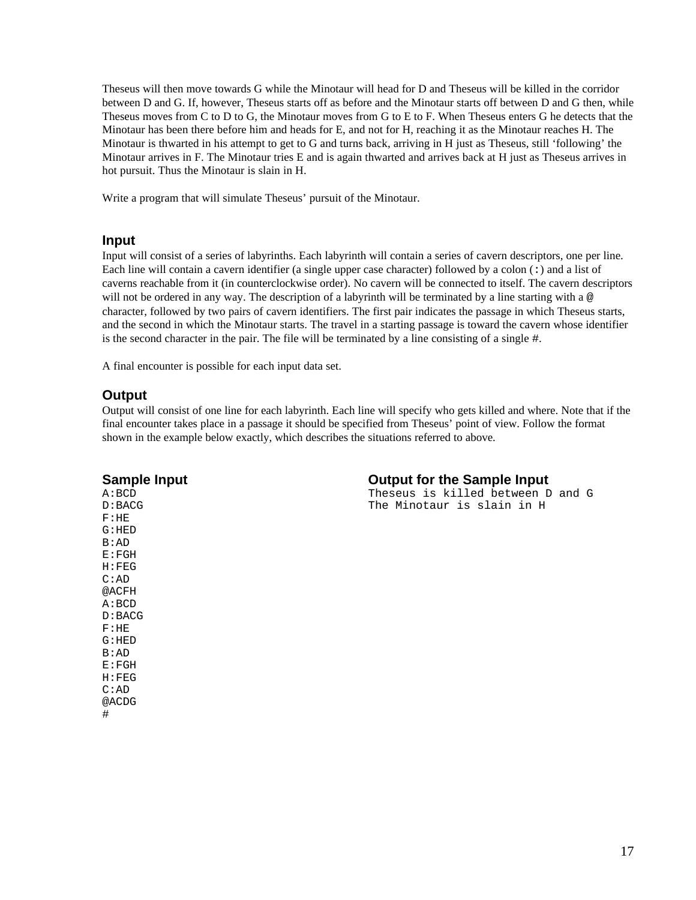Theseus will then move towards G while the Minotaur will head for D and Theseus will be killed in the corridor between D and G. If, however, Theseus starts off as before and the Minotaur starts off between D and G then, while Theseus moves from C to D to G, the Minotaur moves from G to E to F. When Theseus enters G he detects that the Minotaur has been there before him and heads for E, and not for H, reaching it as the Minotaur reaches H. The Minotaur is thwarted in his attempt to get to G and turns back, arriving in H just as Theseus, still 'following' the Minotaur arrives in F. The Minotaur tries E and is again thwarted and arrives back at H just as Theseus arrives in hot pursuit. Thus the Minotaur is slain in H.

Write a program that will simulate Theseus' pursuit of the Minotaur.

#### **Input**

Input will consist of a series of labyrinths. Each labyrinth will contain a series of cavern descriptors, one per line. Each line will contain a cavern identifier (a single upper case character) followed by a colon (:) and a list of caverns reachable from it (in counterclockwise order). No cavern will be connected to itself. The cavern descriptors will not be ordered in any way. The description of a labyrinth will be terminated by a line starting with a  $\circledcirc$ character, followed by two pairs of cavern identifiers. The first pair indicates the passage in which Theseus starts, and the second in which the Minotaur starts. The travel in a starting passage is toward the cavern whose identifier is the second character in the pair. The file will be terminated by a line consisting of a single #.

A final encounter is possible for each input data set.

# **Output**

Output will consist of one line for each labyrinth. Each line will specify who gets killed and where. Note that if the final encounter takes place in a passage it should be specified from Theseus' point of view. Follow the format shown in the example below exactly, which describes the situations referred to above.

### **Sample Input**

A:BCD D:BACG F:HE G:HED B:AD E:FGH H:FEG C:AD @ACFH A:BCD D:BACG F:HE G:HED B:AD E:FGH H:FEG C:AD @ACDG #

### **Output for the Sample Input**

Theseus is killed between D and G The Minotaur is slain in H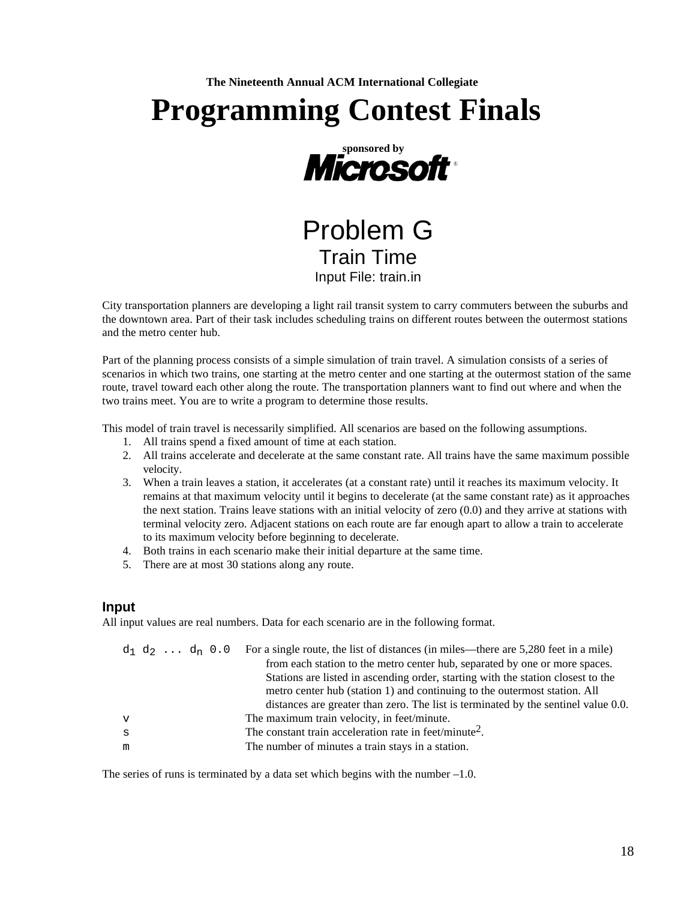# **Programming Contest Finals**



Problem G Train Time Input File: train.in

City transportation planners are developing a light rail transit system to carry commuters between the suburbs and the downtown area. Part of their task includes scheduling trains on different routes between the outermost stations and the metro center hub.

Part of the planning process consists of a simple simulation of train travel. A simulation consists of a series of scenarios in which two trains, one starting at the metro center and one starting at the outermost station of the same route, travel toward each other along the route. The transportation planners want to find out where and when the two trains meet. You are to write a program to determine those results.

This model of train travel is necessarily simplified. All scenarios are based on the following assumptions.

- 1. All trains spend a fixed amount of time at each station.
- 2. All trains accelerate and decelerate at the same constant rate. All trains have the same maximum possible velocity.
- 3. When a train leaves a station, it accelerates (at a constant rate) until it reaches its maximum velocity. It remains at that maximum velocity until it begins to decelerate (at the same constant rate) as it approaches the next station. Trains leave stations with an initial velocity of zero (0.0) and they arrive at stations with terminal velocity zero. Adjacent stations on each route are far enough apart to allow a train to accelerate to its maximum velocity before beginning to decelerate.
- 4. Both trains in each scenario make their initial departure at the same time.
- 5. There are at most 30 stations along any route.

#### **Input**

All input values are real numbers. Data for each scenario are in the following format.

|              |  | $d_1 d_2 \ldots d_n 0.0$ | For a single route, the list of distances (in miles—there are 5,280 feet in a mile) |
|--------------|--|--------------------------|-------------------------------------------------------------------------------------|
|              |  |                          | from each station to the metro center hub, separated by one or more spaces.         |
|              |  |                          | Stations are listed in ascending order, starting with the station closest to the    |
|              |  |                          | metro center hub (station 1) and continuing to the outermost station. All           |
|              |  |                          | distances are greater than zero. The list is terminated by the sentinel value 0.0.  |
| $\mathbf{v}$ |  |                          | The maximum train velocity, in feet/minute.                                         |
| S            |  |                          | The constant train acceleration rate in feet/minute <sup>2</sup> .                  |
| m            |  |                          | The number of minutes a train stays in a station.                                   |

The series of runs is terminated by a data set which begins with the number  $-1.0$ .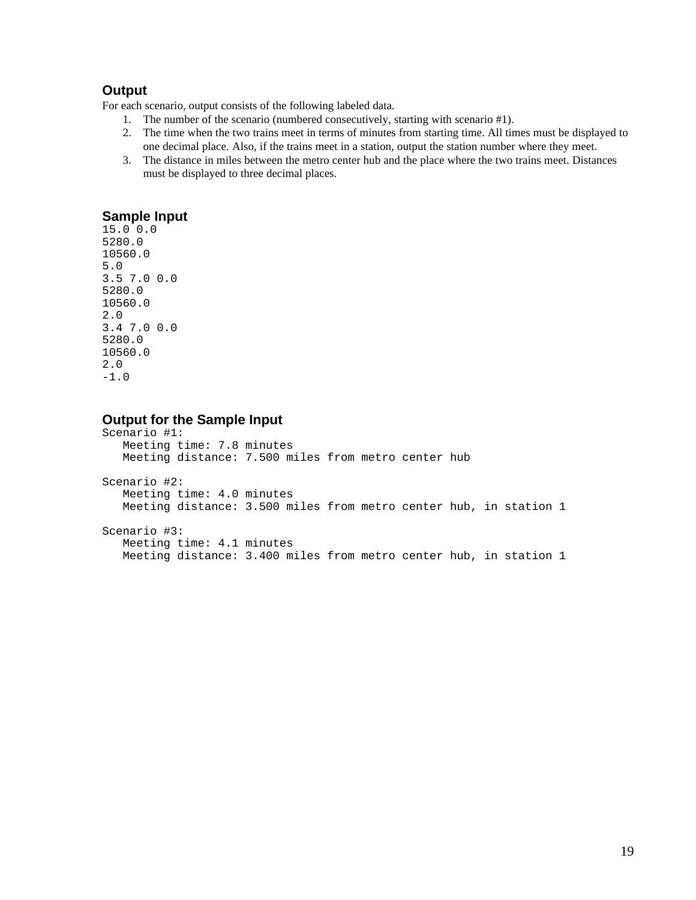# **Output**

For each scenario, output consists of the following labeled data.

- 1. The number of the scenario (numbered consecutively, starting with scenario #1).
- 2. The time when the two trains meet in terms of minutes from starting time. All times must be displayed to one decimal place. Also, if the trains meet in a station, output the station number where they meet.
- 3. The distance in miles between the metro center hub and the place where the two trains meet. Distances must be displayed to three decimal places.

# **Sample Input**

15.0 0.0 5280.0 10560.0 5.0 3.5 7.0 0.0 5280.0 10560.0 2.0 3.4 7.0 0.0 5280.0 10560.0 2.0  $-1.0$ 

# **Output for the Sample Input**

```
Scenario #1:
   Meeting time: 7.8 minutes
   Meeting distance: 7.500 miles from metro center hub
Scenario #2:
   Meeting time: 4.0 minutes
   Meeting distance: 3.500 miles from metro center hub, in station 1
Scenario #3:
   Meeting time: 4.1 minutes
   Meeting distance: 3.400 miles from metro center hub, in station 1
```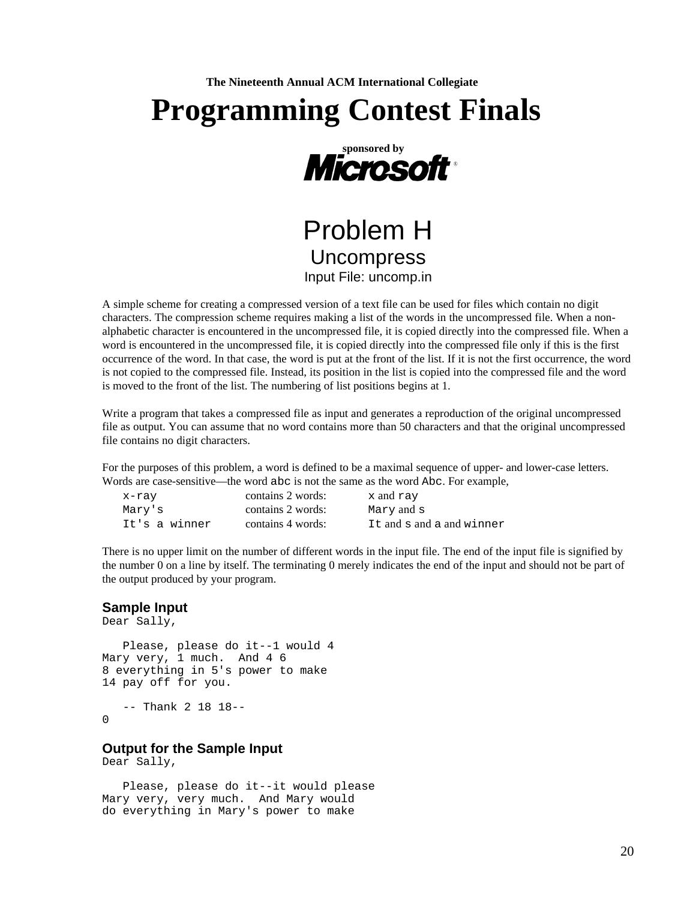# **Programming Contest Finals**



Problem H Uncompress Input File: uncomp.in

A simple scheme for creating a compressed version of a text file can be used for files which contain no digit characters. The compression scheme requires making a list of the words in the uncompressed file. When a nonalphabetic character is encountered in the uncompressed file, it is copied directly into the compressed file. When a word is encountered in the uncompressed file, it is copied directly into the compressed file only if this is the first occurrence of the word. In that case, the word is put at the front of the list. If it is not the first occurrence, the word is not copied to the compressed file. Instead, its position in the list is copied into the compressed file and the word is moved to the front of the list. The numbering of list positions begins at 1.

Write a program that takes a compressed file as input and generates a reproduction of the original uncompressed file as output. You can assume that no word contains more than 50 characters and that the original uncompressed file contains no digit characters.

For the purposes of this problem, a word is defined to be a maximal sequence of upper- and lower-case letters. Words are case-sensitive—the word abc is not the same as the word Abc. For example,

| x-ray         | contains 2 words: | x and ray                 |
|---------------|-------------------|---------------------------|
| Mary's        | contains 2 words: | Mary and s                |
| It's a winner | contains 4 words: | It and s and a and winner |

There is no upper limit on the number of different words in the input file. The end of the input file is signified by the number 0 on a line by itself. The terminating 0 merely indicates the end of the input and should not be part of the output produced by your program.

### **Sample Input**

Dear Sally,

 Please, please do it--1 would 4 Mary very, 1 much. And 4 6 8 everything in 5's power to make 14 pay off for you. -- Thank 2 18 18--

 $\overline{0}$ 

# **Output for the Sample Input**

Dear Sally,

 Please, please do it--it would please Mary very, very much. And Mary would do everything in Mary's power to make